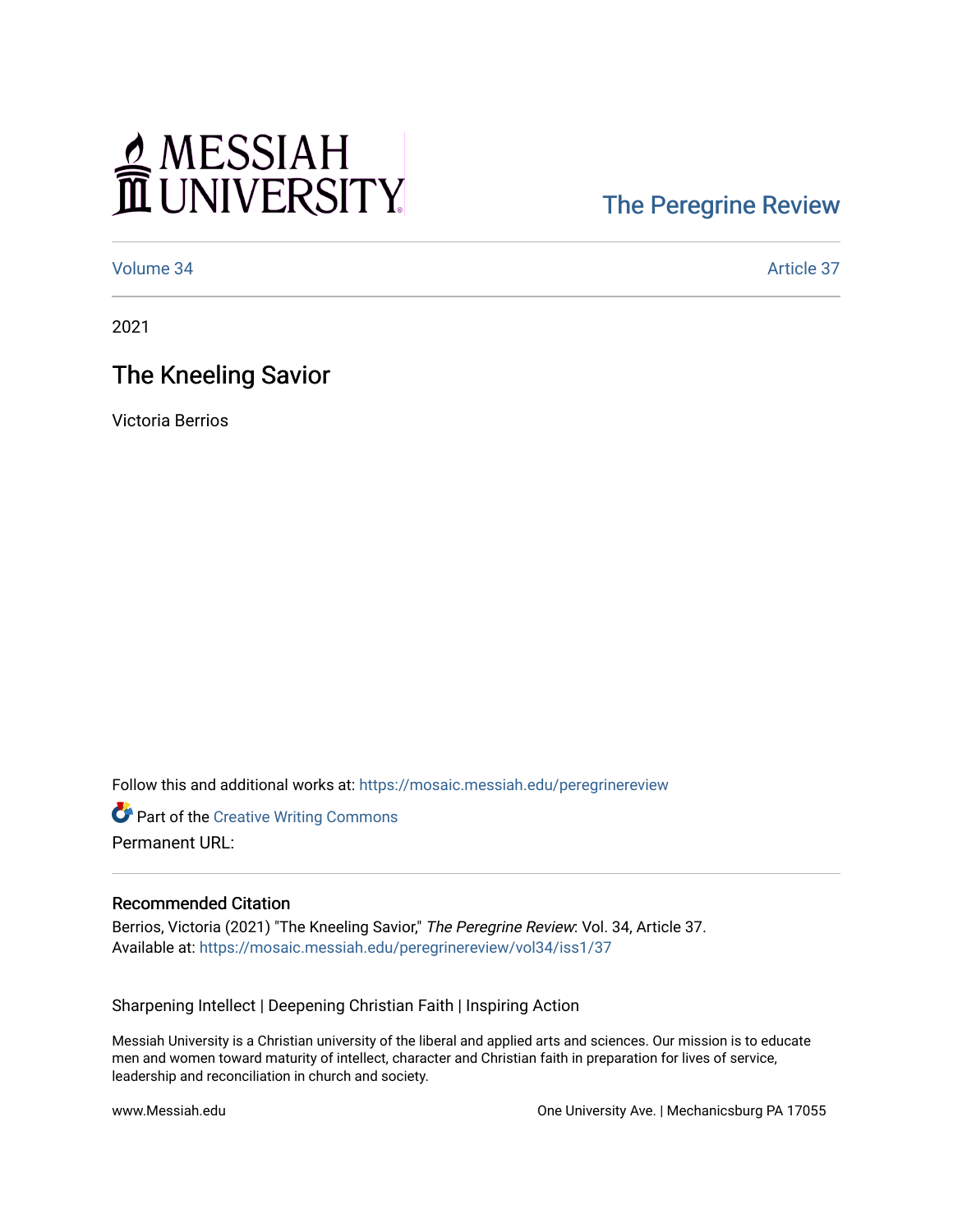# MESSIAH

## [The Peregrine Review](https://mosaic.messiah.edu/peregrinereview)

[Volume 34](https://mosaic.messiah.edu/peregrinereview/vol34) Article 37

2021

### The Kneeling Savior

Victoria Berrios

Follow this and additional works at: [https://mosaic.messiah.edu/peregrinereview](https://mosaic.messiah.edu/peregrinereview?utm_source=mosaic.messiah.edu%2Fperegrinereview%2Fvol34%2Fiss1%2F37&utm_medium=PDF&utm_campaign=PDFCoverPages) 

**Part of the Creative Writing Commons** Permanent URL:

#### Recommended Citation

Berrios, Victoria (2021) "The Kneeling Savior," The Peregrine Review: Vol. 34, Article 37. Available at: [https://mosaic.messiah.edu/peregrinereview/vol34/iss1/37](https://mosaic.messiah.edu/peregrinereview/vol34/iss1/37?utm_source=mosaic.messiah.edu%2Fperegrinereview%2Fvol34%2Fiss1%2F37&utm_medium=PDF&utm_campaign=PDFCoverPages)

Sharpening Intellect | Deepening Christian Faith | Inspiring Action

Messiah University is a Christian university of the liberal and applied arts and sciences. Our mission is to educate men and women toward maturity of intellect, character and Christian faith in preparation for lives of service, leadership and reconciliation in church and society.

www.Messiah.edu One University Ave. | Mechanicsburg PA 17055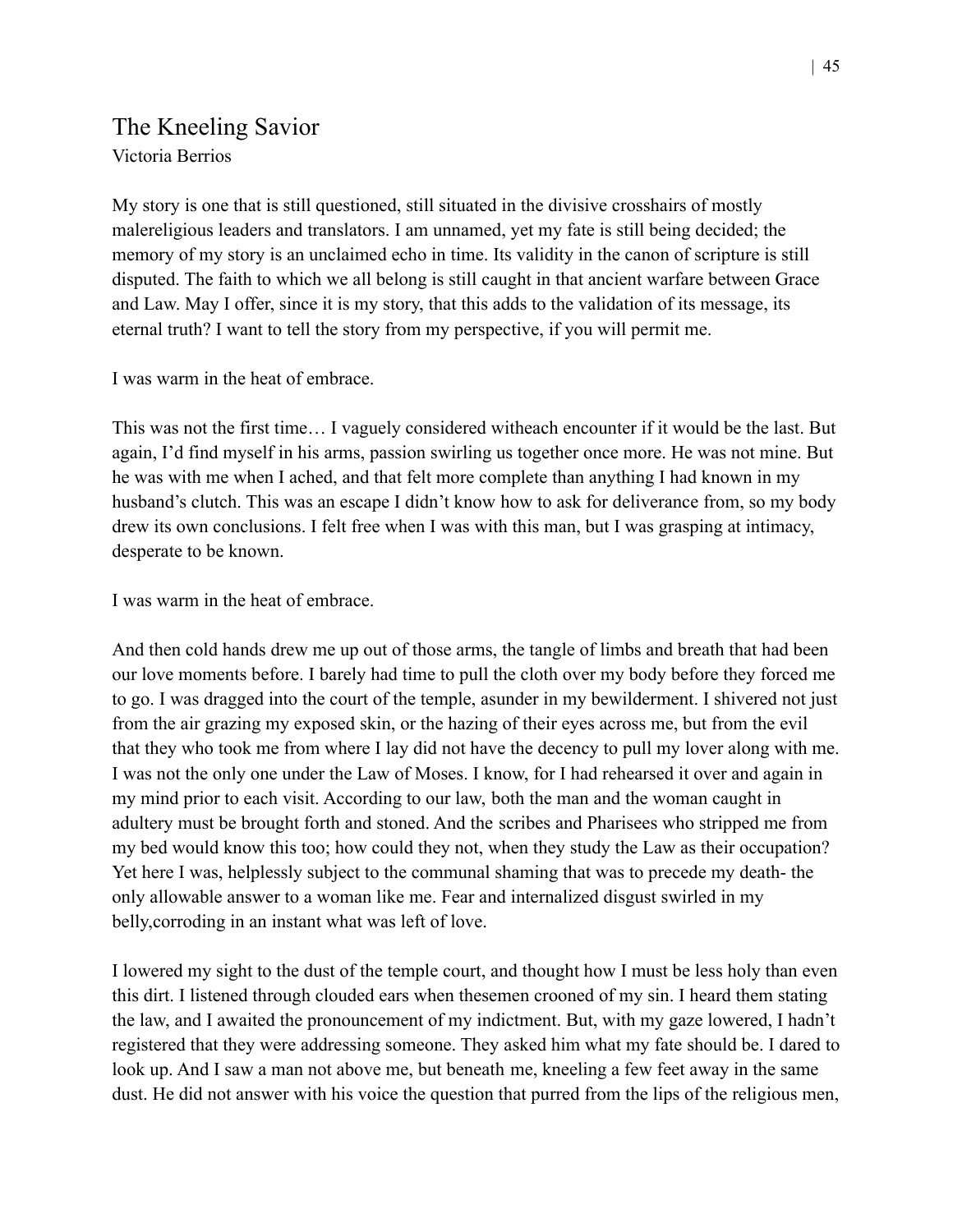#### The Kneeling Savior Victoria Berrios

My story is one that is still questioned, still situated in the divisive crosshairs of mostly malereligious leaders and translators. I am unnamed, yet my fate is still being decided; the memory of my story is an unclaimed echo in time. Its validity in the canon of scripture is still disputed. The faith to which we all belong is still caught in that ancient warfare between Grace and Law. May I offer, since it is my story, that this adds to the validation of its message, its eternal truth? I want to tell the story from my perspective, if you will permit me.

I was warm in the heat of embrace.

This was not the first time… I vaguely considered witheach encounter if it would be the last. But again, I'd find myself in his arms, passion swirling us together once more. He was not mine. But he was with me when I ached, and that felt more complete than anything I had known in my husband's clutch. This was an escape I didn't know how to ask for deliverance from, so my body drew its own conclusions. I felt free when I was with this man, but I was grasping at intimacy, desperate to be known.

I was warm in the heat of embrace.

And then cold hands drew me up out of those arms, the tangle of limbs and breath that had been our love moments before. I barely had time to pull the cloth over my body before they forced me to go. I was dragged into the court of the temple, asunder in my bewilderment. I shivered not just from the air grazing my exposed skin, or the hazing of their eyes across me, but from the evil that they who took me from where I lay did not have the decency to pull my lover along with me. I was not the only one under the Law of Moses. I know, for I had rehearsed it over and again in my mind prior to each visit. According to our law, both the man and the woman caught in adultery must be brought forth and stoned. And the scribes and Pharisees who stripped me from my bed would know this too; how could they not, when they study the Law as their occupation? Yet here I was, helplessly subject to the communal shaming that was to precede my death- the only allowable answer to a woman like me. Fear and internalized disgust swirled in my belly,corroding in an instant what was left of love.

I lowered my sight to the dust of the temple court, and thought how I must be less holy than even this dirt. I listened through clouded ears when thesemen crooned of my sin. I heard them stating the law, and I awaited the pronouncement of my indictment. But, with my gaze lowered, I hadn't registered that they were addressing someone. They asked him what my fate should be. I dared to look up. And I saw a man not above me, but beneath me, kneeling a few feet away in the same dust. He did not answer with his voice the question that purred from the lips of the religious men,